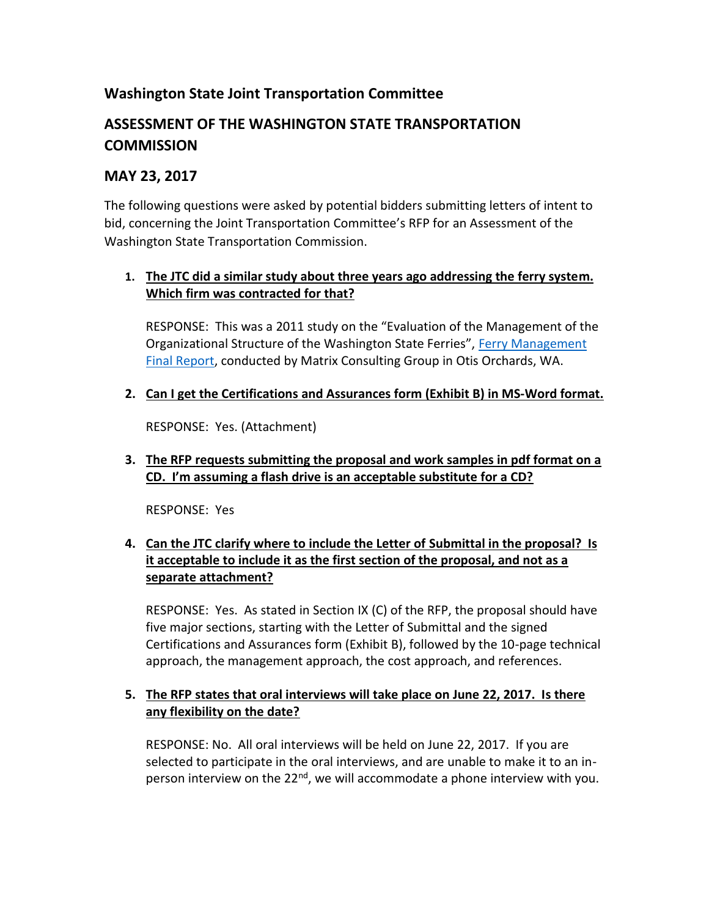# **Washington State Joint Transportation Committee**

# **ASSESSMENT OF THE WASHINGTON STATE TRANSPORTATION COMMISSION**

### **MAY 23, 2017**

The following questions were asked by potential bidders submitting letters of intent to bid, concerning the Joint Transportation Committee's RFP for an Assessment of the Washington State Transportation Commission.

#### **1. The JTC did a similar study about three years ago addressing the ferry system. Which firm was contracted for that?**

RESPONSE: This was a 2011 study on the "Evaluation of the Management of the Organizational Structure of the Washington State Ferries", Ferry Management [Final Report,](http://leg.wa.gov/JTC/Documents/Studies/Ferry%20Mgmt/WSFMgmtFinalReport_web.pdf) conducted by Matrix Consulting Group in Otis Orchards, WA.

**2. Can I get the Certifications and Assurances form (Exhibit B) in MS-Word format.**

RESPONSE: Yes. (Attachment)

**3. The RFP requests submitting the proposal and work samples in pdf format on a CD. I'm assuming a flash drive is an acceptable substitute for a CD?**

RESPONSE: Yes

### **4. Can the JTC clarify where to include the Letter of Submittal in the proposal? Is it acceptable to include it as the first section of the proposal, and not as a separate attachment?**

RESPONSE: Yes. As stated in Section IX (C) of the RFP, the proposal should have five major sections, starting with the Letter of Submittal and the signed Certifications and Assurances form (Exhibit B), followed by the 10-page technical approach, the management approach, the cost approach, and references.

#### **5. The RFP states that oral interviews will take place on June 22, 2017. Is there any flexibility on the date?**

RESPONSE: No. All oral interviews will be held on June 22, 2017. If you are selected to participate in the oral interviews, and are unable to make it to an inperson interview on the  $22^{nd}$ , we will accommodate a phone interview with you.